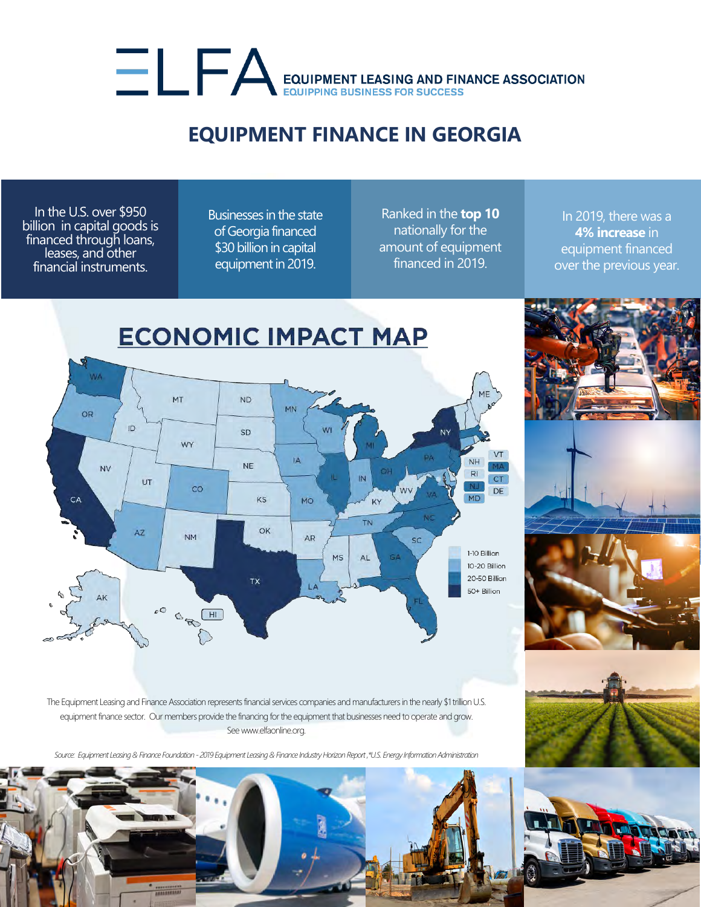## EQUIPMENT LEASING AND FINANCE ASSOCIATION

## **EQUIPMENT FINANCE IN GEORGIA**

In the U.S. over \$950 billion in capital goods is financed through loans, leases, and other financial instruments.

Businesses in the state of Georgia financed \$30 billion in capital equipment in 2019.

Ranked in the **top 10** nationally for the amount of equipment financed in 2019.

In 2019, there was a **4% increase** in equipment financed over the previous year.



The Equipment Leasing and Finance Association represents financial services companies and manufacturers in the nearly \$1 trillion U.S. equipment finance sector. Our members provide the financing for the equipment that businesses need to operate and grow. See www.elfaonline.org.

*Source: Equipment Leasing& Finance Foundation - 2019 Equipment Leasing & Finance Industry Horizon Report ,\*U.S. Energy Information Administration*